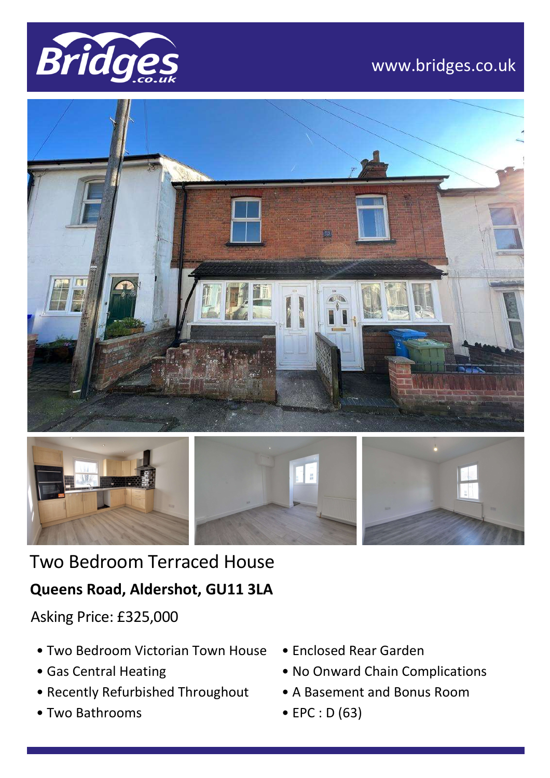

# www.bridges.co.uk





Two Bedroom Terraced House

## **Queens Road, Aldershot, GU11 3LA**

Asking Price: £325,000

- Two Bedroom Victorian Town House
- Gas Central Heating
- Recently Refurbished Throughout
- Two Bathrooms
- Enclosed Rear Garden
- No Onward Chain Complications
- A Basement and Bonus Room
- EPC : D (63)